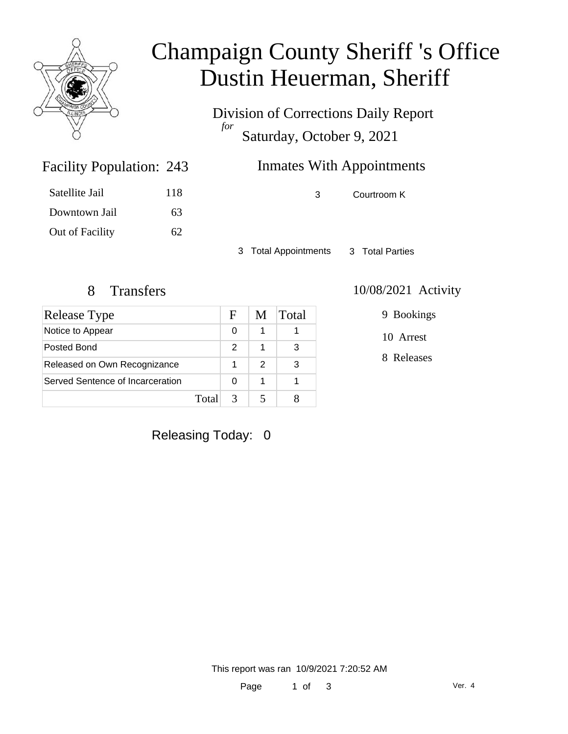

# Champaign County Sheriff 's Office Dustin Heuerman, Sheriff

Division of Corrections Daily Report *for* Saturday, October 9, 2021

## Inmates With Appointments

Satellite Jail 118

Facility Population: 243

Downtown Jail 63 Out of Facility 62 3 Courtroom K

3 Total Appointments 3 Total Parties

| Release Type                     |       | F | M | Total |
|----------------------------------|-------|---|---|-------|
| Notice to Appear                 |       | 0 |   |       |
| Posted Bond                      |       | 2 |   | 3     |
| Released on Own Recognizance     |       |   | 2 | 3     |
| Served Sentence of Incarceration |       |   | 1 |       |
|                                  | Total |   |   |       |

#### 8 Transfers 10/08/2021 Activity

9 Bookings

10 Arrest

8 Releases

Releasing Today: 0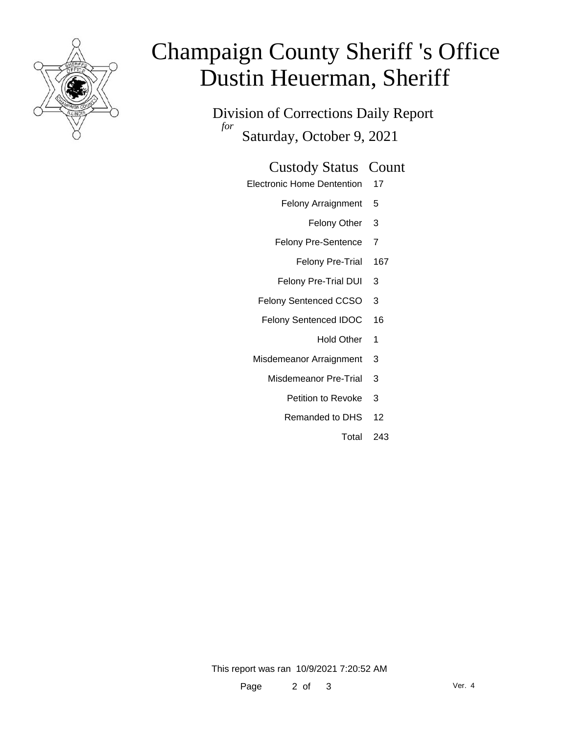

# Champaign County Sheriff 's Office Dustin Heuerman, Sheriff

Division of Corrections Daily Report *for* Saturday, October 9, 2021

#### Custody Status Count

- Electronic Home Dentention 17
	- Felony Arraignment 5
		- Felony Other 3
	- Felony Pre-Sentence 7
		- Felony Pre-Trial 167
	- Felony Pre-Trial DUI 3
	- Felony Sentenced CCSO 3
	- Felony Sentenced IDOC 16
		- Hold Other 1
	- Misdemeanor Arraignment 3
		- Misdemeanor Pre-Trial 3
			- Petition to Revoke 3
			- Remanded to DHS 12
				- Total 243

This report was ran 10/9/2021 7:20:52 AM